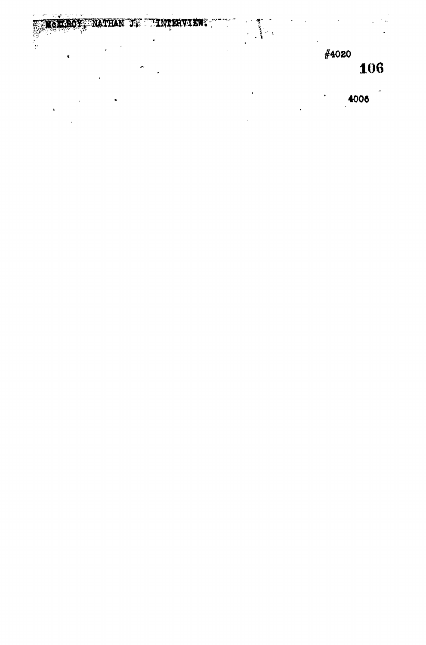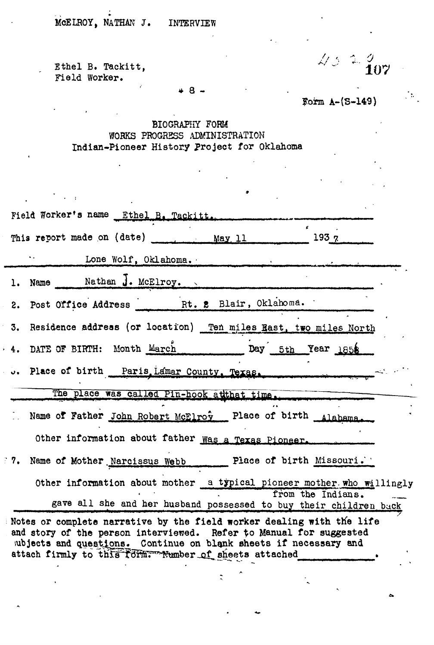MCELROY, NATHAN J. INTERVIEW

Field Worker.

 $\sim$  :

Ethel B. Tackitt,  $\sqrt{3}$  2  $\frac{\partial}{\partial \mathbf{1}}\mathbf{0}$ 

Form  $A-(S-149)$ 

 $48 -$ 

## BIOGRAPHY FORM WORKS PROGRESS ADMINISTRATION Indian-Pioneer History Project for Oklahoma

| Field Worker's name Ethel B. Tackitt.                                                                                                                                                                                                                                    |
|--------------------------------------------------------------------------------------------------------------------------------------------------------------------------------------------------------------------------------------------------------------------------|
| This report made on (date) May 11 1937                                                                                                                                                                                                                                   |
| Lone Wolf, Oklahoma.                                                                                                                                                                                                                                                     |
| 1. Name Mathan J. McElroy.                                                                                                                                                                                                                                               |
| 2. Post Office Address Rt. 2 Blair, Oklahoma.                                                                                                                                                                                                                            |
| Residence address (or location) Ten miles Rast, two miles North<br>3.                                                                                                                                                                                                    |
| 4. DATE OF BIRTH: Month March Day 5th Year 1856                                                                                                                                                                                                                          |
| Place of birth Paris Lamar County. Texas.                                                                                                                                                                                                                                |
| The place was called Pin-hook atthat time.                                                                                                                                                                                                                               |
| Name of Father John Robert McElroy Place of birth Alabama.                                                                                                                                                                                                               |
| Other information about father was a Texas Pioneer.                                                                                                                                                                                                                      |
| 7. Name of Mother Narcissus Webb Place of birth Missouri.                                                                                                                                                                                                                |
| Other information about mother a typical pioneer mother who willingly                                                                                                                                                                                                    |
| from the Indians.<br>gave all she and her husband possessed to buy their children back                                                                                                                                                                                   |
| Notes or complete narrative by the field worker dealing with the life<br>and story of the person interviewed. Refer to Manual for suggested<br>ubjects and questions. Continue on blank sheets if necessary and<br>attach firmly to this form. Number of sheets attached |

 $\ddot{\cdot}$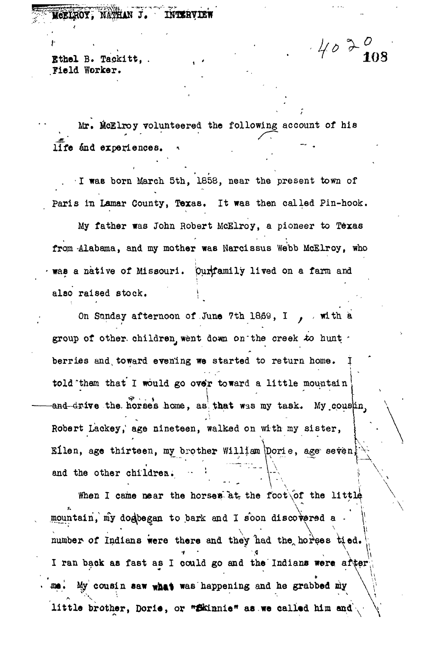## MCELROY, NATHAN J. INTERVIEW

 $\mathcal{L}$ <br>**Ethel** B. Tackitt, .

Field Worker.

Mr. McElroy volunteered the following account of his  $\widehat{\mathbf{life}}$  and experiences.

*.* I was born March 5th, 1858, near the present town of Paris in Lamar County, Texas, It was then called Pin-hook.

My father was John Robert McElroy, a pioneer to Texas from-Alabama, and my mother was Narcissus Webb McElroy, who way a navive of Missouri, purposed of lived on a farm and also raised stock.

On Sunday afternoon of June 7th 1869, I , with a group of other, children, went down on the creek to hunt . berries and toward evening we started to return home. told them that I would go over toward a little mountain **Eilen, age thirteen, my brother William Dorie, age sevent** and drive the horses home, as that was my task. My cousin, Robert Lackey, age nineteen, walked on with my sister, and the other children.

When I came near the horses at the foot of the little mountain'/ my do^began to bark and I s'bon discovered a - *^* number of Indians were there and they had the horses tied. I ran back as fast as I could go and the Indians were after  $\int_{\mathbb{R}^n}$  ,  $\int_{\mathbb{R}^n}$  ,  $\int_{\mathbb{R}^n}$  ,  $\int_{\mathbb{R}^n}$  ,  $\int_{\mathbb{R}^n}$  ,  $\int_{\mathbb{R}^n}$  ,  $\int_{\mathbb{R}^n}$  ,  $\int_{\mathbb{R}^n}$  ,  $\int_{\mathbb{R}^n}$  ,  $\int_{\mathbb{R}^n}$  ,  $\int_{\mathbb{R}^n}$  ,  $\int_{\mathbb{R}^n}$  ,  $\int_{\mathbb{R}^n}$  , me. My cousin saw what was happening and he grabbed my *iitle brother. Doria, or "Ekinnia" as we called him and ...* little brother, Dorie, or sections as we called him and  $\sqrt{2}$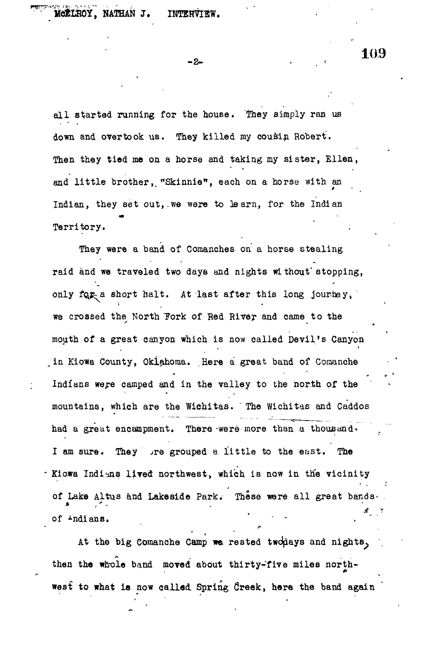MCELROY, NATHAN J. INTERVIEW.

**- 2 - • . -•**

all started running for the house. They simply ran us down and overtook us. They killed my cousin Robert. Then they tied me on a horse and taking my sister, Ellen, and little brother, "Skinnie", each on a horse with an Indian, they set out,.we were to learn, for the Indian Territory.

They were a band of Comanches on a horse stealing raid and we traveled two days and nights wi thout'stopping, only for a short halt. At last after this long journey, we crossed the North Tork of Red River and came to the mouth of a great canyon which is now called Devil's Canyon in Kiowa County, Oklahoma. Here a great band of Comanche Indians were camped and in the valley to the north of the mountains, which are the Wichitas. The Wichitas and Caddos had a great encampment. There were more than a thousand. I am sure. They grouped a little to the east. The Miowa Indians lived northwest, which is now in the vicinity of Lake Altus and Lakeside Park. These were all great bands. of  $-$ ndians.

At the big Comanche Camp we rested two hays and nights, then the whole band moved about thirty-five miles northwest to what is now called Spring Creek, here the band again

**10.9**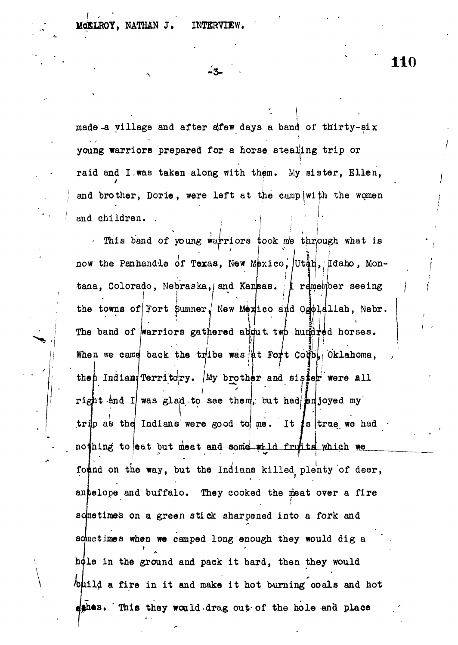MCELROY, NATHAN J. INTERVIEW.

**- 3 -**

**110**

made-a village and after effew days a band of thirty-six young warriors prepared for a horse stealing trip or raid and I,was taken along with them. My sister, Ellen, and brother, Dorie, were left at the camp with the women and children. .

This band of young warriors took me through what is I now the Panhandle of Texas, New Mexico, Utan, Idaho, Montana, Colorado, Nebraska, and Kansas. **A** remember seeing the towns of Fort Sumner, New Mexico and Ospleilah, Nebr. **7** The band of warriors gathered about two hundred horses. When we came back the tribe was at Fort Coup<sub>b</sub>, Oklahoma, then Indian Territory. My brother and sister were all. right and I was glad to see them, but had enjoyed my trip as the Indians were good to me. It is true we had  $\cdot$ nothing to eat but meat and some wild fruitd which we found on the way, but the Indians killed plenty of deer, antelope and buffalo. They cooked the meat over a fire sometimes on a green stick sharpened into a fork and schnetimes when we camped long enough they would dig a hole in the ground and pack it hard, then they would build a fire in it and make it hot burning coals and hot  $d$ shes. This they would-drag out of the hole and place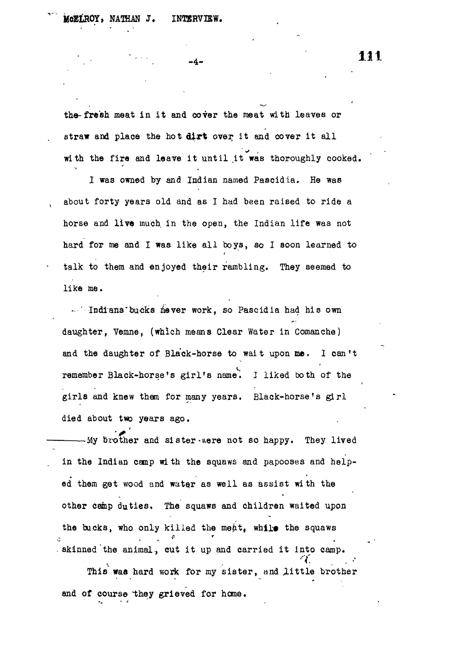MGELROY, NATHAN J. INTERVIEW.

the-fresh meat in it and cover the meat with leaves or straw and place the hot dirt over it and cover it all with the fire and leave it until it was thoroughly cooked.

-4.

I was owned by and Indian named Paacidia. He was about forty years old and as I had been raised to ride a horse and **live** much in the open, the Indian life was not hard for me and I was like all boys, ao I soon learned to talk to them and enjoyed their rambling. They seemed to like me.

-- '- Indians' bucks never work, so Pascidia had his own daughter, Yemne, (which means Clear Water in Comanche) and the daughter of Black-horse to wait upon me. I can't remember Black-horse's girl's name'. J liked both of the girls and knew them for many years. Black-horse's girl died about two years ago.

 $-My$  brother and sister were not so happy. They lived in the Indian camp with the squaws and papooses and helped them get wood and water as well as assist with the other camp duties. The squaws and children waited upon the bucks, who only killed the meat, while the squaws  $\ddot{\cdot}$ . skinned the animal, cut it up and carried it into camp. This was hard work for my sister, and little brother and of course they grieved for home.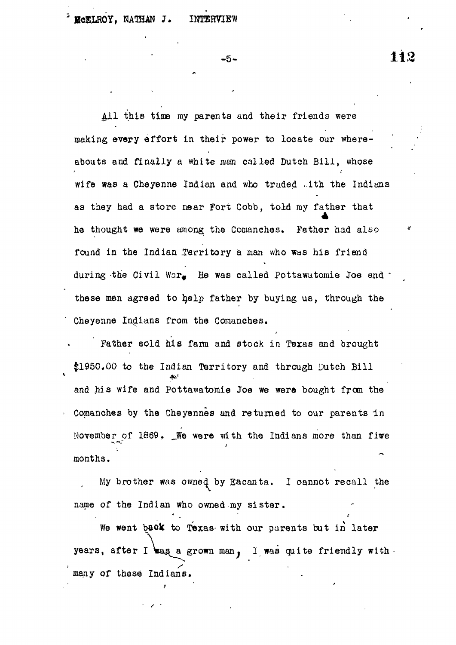All this time my parents and their friends were making every effort in their power to locate our whereabouts and finally a white *man* called Dutch Bill, whose wife was a Cheyenne Indian and who traded ..ith the Indians as they had a store near Fort Cobb, told my father that he thought we were among the Comanehes. Father had also found in the Indian Territory a man who was his friend during the Civil War. He was called Pottawatomie Joe and  $\cdot$ these men agreed to help father by buying us, through the Cheyenne Indians from the Comanches.

Father sold his fann and stock in Texas and brought \$1950.00 to the Indian Territory and through Dutch Bill and his wife and Pottawatomie Joe we were bought from the Comanches by the Cheyennes and returned to our parents in November of 1869. \_We were with the Indians more than five months.

My brother was owned by Eacanta. I oannot recall the name of the Indian who owned my sister.

We went back to Texas with our parents but in later years, after I was a grown man, I was quite friendly with. *> s* many of these Indians.